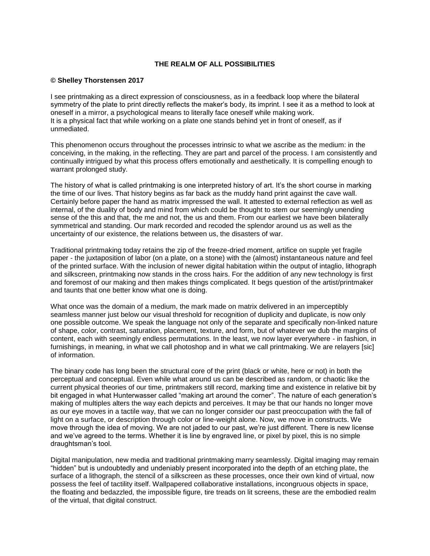## **THE REALM OF ALL POSSIBILITIES**

## **© Shelley Thorstensen 2017**

I see printmaking as a direct expression of consciousness, as in a feedback loop where the bilateral symmetry of the plate to print directly reflects the maker's body, its imprint. I see it as a method to look at oneself in a mirror, a psychological means to literally face oneself while making work. It is a physical fact that while working on a plate one stands behind yet in front of oneself, as if unmediated.

This phenomenon occurs throughout the processes intrinsic to what we ascribe as the medium: in the conceiving, in the making, in the reflecting. They are part and parcel of the process. I am consistently and continually intrigued by what this process offers emotionally and aesthetically. It is compelling enough to warrant prolonged study.

The history of what is called printmaking is one interpreted history of art. It's the short course in marking the time of our lives. That history begins as far back as the muddy hand print against the cave wall. Certainly before paper the hand as matrix impressed the wall. It attested to external reflection as well as internal, of the duality of body and mind from which could be thought to stem our seemingly unending sense of the this and that, the me and not, the us and them. From our earliest we have been bilaterally symmetrical and standing. Our mark recorded and recoded the splendor around us as well as the uncertainty of our existence, the relations between us, the disasters of war.

Traditional printmaking today retains the zip of the freeze-dried moment, artifice on supple yet fragile paper - the juxtaposition of labor (on a plate, on a stone) with the (almost) instantaneous nature and feel of the printed surface. With the inclusion of newer digital habitation within the output of intaglio, lithograph and silkscreen, printmaking now stands in the cross hairs. For the addition of any new technology is first and foremost of our making and then makes things complicated. It begs question of the artist/printmaker and taunts that one better know what one is doing.

What once was the domain of a medium, the mark made on matrix delivered in an imperceptibly seamless manner just below our visual threshold for recognition of duplicity and duplicate, is now only one possible outcome. We speak the language not only of the separate and specifically non-linked nature of shape, color, contrast, saturation, placement, texture, and form, but of whatever we dub the margins of content, each with seemingly endless permutations. In the least, we now layer everywhere - in fashion, in furnishings, in meaning, in what we call photoshop and in what we call printmaking. We are relayers [sic] of information.

The binary code has long been the structural core of the print (black or white, here or not) in both the perceptual and conceptual. Even while what around us can be described as random, or chaotic like the current physical theories of our time, printmakers still record, marking time and existence in relative bit by bit engaged in what Hunterwasser called "making art around the corner". The nature of each generation's making of multiples alters the way each depicts and perceives. It may be that our hands no longer move as our eye moves in a tactile way, that we can no longer consider our past preoccupation with the fall of light on a surface, or description through color or line-weight alone. Now, we move in constructs. We move through the idea of moving. We are not jaded to our past, we're just different. There is new license and we've agreed to the terms. Whether it is line by engraved line, or pixel by pixel, this is no simple draughtsman's tool.

Digital manipulation, new media and traditional printmaking marry seamlessly. Digital imaging may remain "hidden" but is undoubtedly and undeniably present incorporated into the depth of an etching plate, the surface of a lithograph, the stencil of a silkscreen as these processes, once their own kind of virtual, now possess the feel of tactility itself. Wallpapered collaborative installations, incongruous objects in space, the floating and bedazzled, the impossible figure, tire treads on lit screens, these are the embodied realm of the virtual, that digital construct.